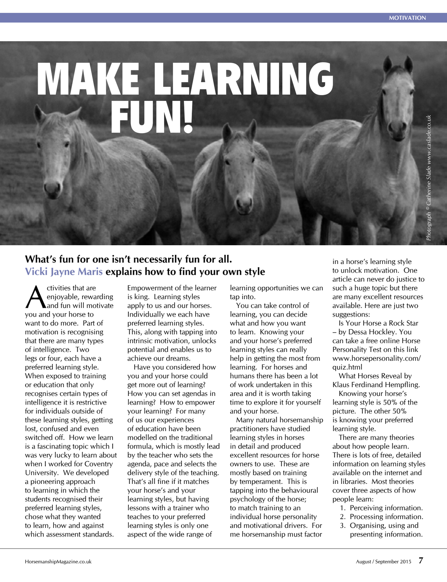*Photograph © Catherine Slade www.caslade.co.uk*

ne Slade www.

# MAKE LEARNING FUN!

## **What's fun for one isn't necessarily fun for all. Vicki Jayne Maris explains how to find your own style**

Civities that are<br>
enjoyable, reward and fun will mot enjoyable, rewarding and fun will motivate you and your horse to want to do more. Part of motivation is recognising that there are many types of intelligence. Two legs or four, each have a preferred learning style. When exposed to training or education that only recognises certain types of intelligence it is restrictive for individuals outside of these learning styles, getting lost, confused and even switched off. How we learn is a fascinating topic which I was very lucky to learn about when I worked for Coventry University. We developed a pioneering approach to learning in which the students recognised their preferred learning styles, chose what they wanted to learn, how and against which assessment standards.

Empowerment of the learner is king. Learning styles apply to us and our horses. Individually we each have preferred learning styles. This, along with tapping into intrinsic motivation, unlocks potential and enables us to achieve our dreams.

Have you considered how you and your horse could get more out of learning? How you can set agendas in learning? How to empower your learning? For many of us our experiences of education have been modelled on the traditional formula, which is mostly lead by the teacher who sets the agenda, pace and selects the delivery style of the teaching. That's all fine if it matches your horse's and your learning styles, but having lessons with a trainer who teaches to your preferred learning styles is only one aspect of the wide range of

learning opportunities we can tap into.

You can take control of learning, you can decide what and how you want to learn. Knowing your and your horse's preferred learning styles can really help in getting the most from learning. For horses and humans there has been a lot of work undertaken in this area and it is worth taking time to explore it for yourself and your horse.

Many natural horsemanship practitioners have studied learning styles in horses in detail and produced excellent resources for horse owners to use. These are mostly based on training by temperament. This is tapping into the behavioural psychology of the horse; to match training to an individual horse personality and motivational drivers. For me horsemanship must factor

in a horse's learning style to unlock motivation. One article can never do justice to such a huge topic but there are many excellent resources available. Here are just two suggestions:

Is Your Horse a Rock Star – by Dessa Hockley. You can take a free online Horse Personality Test on this link www.horsepersonality.com/ quiz.html

What Horses Reveal by Klaus Ferdinand Hempfling.

Knowing your horse's learning style is 50% of the picture. The other 50% is knowing your preferred learning style.

There are many theories about how people learn. There is lots of free, detailed information on learning styles available on the internet and in libraries. Most theories cover three aspects of how people learn:

- 1. Perceiving information.
- 2. Processing information.
- 3. Organising, using and presenting information.